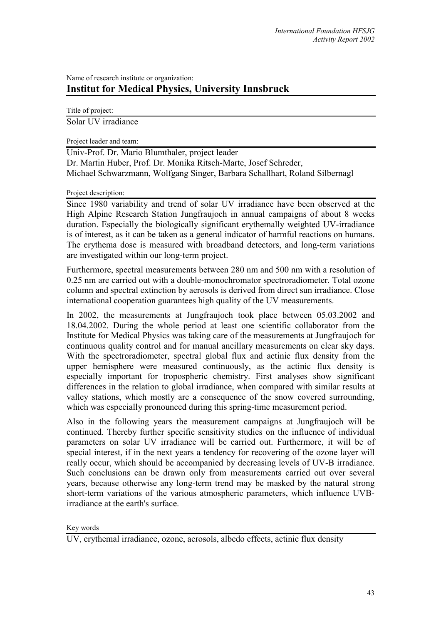## Name of research institute or organization: **Institut for Medical Physics, University Innsbruck**

Title of project:

Solar UV irradiance

Project leader and team:

Univ-Prof. Dr. Mario Blumthaler, project leader Dr. Martin Huber, Prof. Dr. Monika Ritsch-Marte, Josef Schreder, Michael Schwarzmann, Wolfgang Singer, Barbara Schallhart, Roland Silbernagl

## Project description:

Since 1980 variability and trend of solar UV irradiance have been observed at the High Alpine Research Station Jungfraujoch in annual campaigns of about 8 weeks duration. Especially the biologically significant erythemally weighted UV-irradiance is of interest, as it can be taken as a general indicator of harmful reactions on humans. The erythema dose is measured with broadband detectors, and long-term variations are investigated within our long-term project.

Furthermore, spectral measurements between 280 nm and 500 nm with a resolution of 0.25 nm are carried out with a double-monochromator spectroradiometer. Total ozone column and spectral extinction by aerosols is derived from direct sun irradiance. Close international cooperation guarantees high quality of the UV measurements.

In 2002, the measurements at Jungfraujoch took place between 05.03.2002 and 18.04.2002. During the whole period at least one scientific collaborator from the Institute for Medical Physics was taking care of the measurements at Jungfraujoch for continuous quality control and for manual ancillary measurements on clear sky days. With the spectroradiometer, spectral global flux and actinic flux density from the upper hemisphere were measured continuously, as the actinic flux density is especially important for tropospheric chemistry. First analyses show significant differences in the relation to global irradiance, when compared with similar results at valley stations, which mostly are a consequence of the snow covered surrounding, which was especially pronounced during this spring-time measurement period.

Also in the following years the measurement campaigns at Jungfraujoch will be continued. Thereby further specific sensitivity studies on the influence of individual parameters on solar UV irradiance will be carried out. Furthermore, it will be of special interest, if in the next years a tendency for recovering of the ozone layer will really occur, which should be accompanied by decreasing levels of UV-B irradiance. Such conclusions can be drawn only from measurements carried out over several years, because otherwise any long-term trend may be masked by the natural strong short-term variations of the various atmospheric parameters, which influence UVBirradiance at the earth's surface.

Key words

UV, erythemal irradiance, ozone, aerosols, albedo effects, actinic flux density